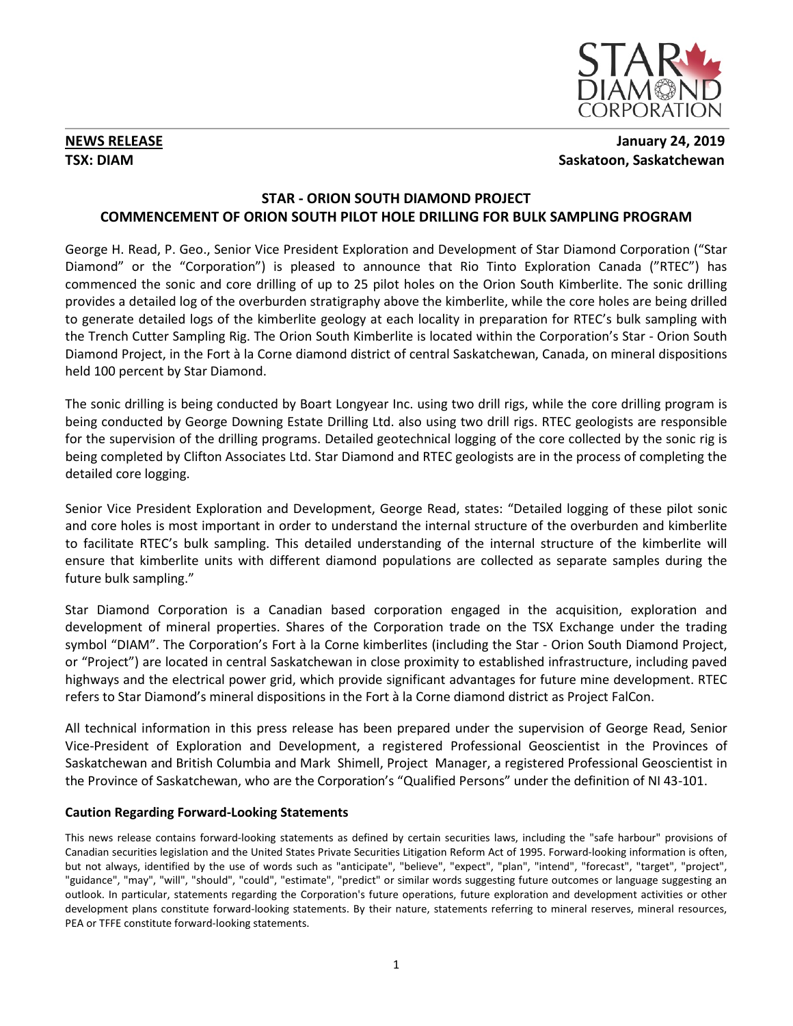

# **NEWS RELEASE January 24, 2019 TSX: DIAM** Saskatoon, Saskatchewan

## **STAR - ORION SOUTH DIAMOND PROJECT COMMENCEMENT OF ORION SOUTH PILOT HOLE DRILLING FOR BULK SAMPLING PROGRAM**

George H. Read, P. Geo., Senior Vice President Exploration and Development of Star Diamond Corporation ("Star Diamond" or the "Corporation") is pleased to announce that Rio Tinto Exploration Canada ("RTEC") has commenced the sonic and core drilling of up to 25 pilot holes on the Orion South Kimberlite. The sonic drilling provides a detailed log of the overburden stratigraphy above the kimberlite, while the core holes are being drilled to generate detailed logs of the kimberlite geology at each locality in preparation for RTEC's bulk sampling with the Trench Cutter Sampling Rig. The Orion South Kimberlite is located within the Corporation's Star - Orion South Diamond Project, in the Fort à la Corne diamond district of central Saskatchewan, Canada, on mineral dispositions held 100 percent by Star Diamond.

The sonic drilling is being conducted by Boart Longyear Inc. using two drill rigs, while the core drilling program is being conducted by George Downing Estate Drilling Ltd. also using two drill rigs. RTEC geologists are responsible for the supervision of the drilling programs. Detailed geotechnical logging of the core collected by the sonic rig is being completed by Clifton Associates Ltd. Star Diamond and RTEC geologists are in the process of completing the detailed core logging.

Senior Vice President Exploration and Development, George Read, states: "Detailed logging of these pilot sonic and core holes is most important in order to understand the internal structure of the overburden and kimberlite to facilitate RTEC's bulk sampling. This detailed understanding of the internal structure of the kimberlite will ensure that kimberlite units with different diamond populations are collected as separate samples during the future bulk sampling."

Star Diamond Corporation is a Canadian based corporation engaged in the acquisition, exploration and development of mineral properties. Shares of the Corporation trade on the TSX Exchange under the trading symbol "DIAM". The Corporation's Fort à la Corne kimberlites (including the Star - Orion South Diamond Project, or "Project") are located in central Saskatchewan in close proximity to established infrastructure, including paved highways and the electrical power grid, which provide significant advantages for future mine development. RTEC refers to Star Diamond's mineral dispositions in the Fort à la Corne diamond district as Project FalCon.

All technical information in this press release has been prepared under the supervision of George Read, Senior Vice-President of Exploration and Development, a registered Professional Geoscientist in the Provinces of Saskatchewan and British Columbia and Mark Shimell, Project Manager, a registered Professional Geoscientist in the Province of Saskatchewan, who are the Corporation's "Qualified Persons" under the definition of NI 43-101.

## **Caution Regarding Forward-Looking Statements**

This news release contains forward-looking statements as defined by certain securities laws, including the "safe harbour" provisions of Canadian securities legislation and the United States Private Securities Litigation Reform Act of 1995. Forward-looking information is often, but not always, identified by the use of words such as "anticipate", "believe", "expect", "plan", "intend", "forecast", "target", "project", "guidance", "may", "will", "should", "could", "estimate", "predict" or similar words suggesting future outcomes or language suggesting an outlook. In particular, statements regarding the Corporation's future operations, future exploration and development activities or other development plans constitute forward-looking statements. By their nature, statements referring to mineral reserves, mineral resources, PEA or TFFE constitute forward-looking statements.